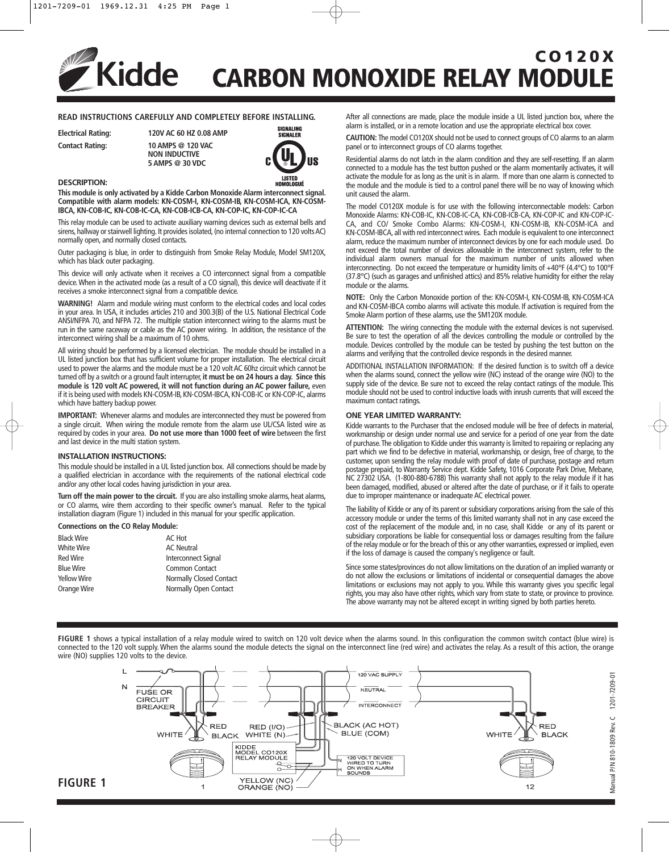# **CO120X Kidde CARBON MONOXIDE RELAY MODULE**

## **READ INSTRUCTIONS CAREFULLY AND COMPLETELY BEFORE INSTALLING.**

**Electrical Rating: 120V AC 60 HZ 0.08 AMP Contact Rating: 10 AMPS @ 120 VAC NON INDUCTIVE 5 AMPS @ 30 VDC**



### **DESCRIPTION:**

**This module is only activated by a Kidde Carbon Monoxide Alarm interconnect signal. Compatible with alarm models: KN-COSM-I, KN-COSM-IB, KN-COSM-ICA, KN-COSM-IBCA, KN-COB-IC, KN-COB-IC-CA, KN-COB-ICB-CA, KN-COP-IC, KN-COP-IC-CA**

This relay module can be used to activate auxiliary warning devices such as external bells and sirens, hallway or stairwell lighting. It provides isolated, (no internal connection to 120 volts AC) normally open, and normally closed contacts.

Outer packaging is blue, in order to distinguish from Smoke Relay Module, Model SM120X, which has black outer packaging.

This device will only activate when it receives a CO interconnect signal from a compatible device. When in the activated mode (as a result of a CO signal), this device will deactivate if it receives a smoke interconnect signal from a compatible device.

**WARNING!** Alarm and module wiring must conform to the electrical codes and local codes in your area. In USA, it includes articles 210 and 300.3(B) of the U.S. National Electrical Code ANSI/NFPA 70, and NFPA 72. The multiple station interconnect wiring to the alarms must be run in the same raceway or cable as the AC power wiring. In addition, the resistance of the interconnect wiring shall be a maximum of 10 ohms.

All wiring should be performed by a licensed electrician. The module should be installed in a UL listed junction box that has sufficient volume for proper installation. The electrical circuit used to power the alarms and the module must be a 120 volt AC 60hz circuit which cannot be turned off by a switch or a ground fault interrupter, **it must be on 24 hours a day. Since this module is 120 volt AC powered, it will not function during an AC power failure,** even if it is being used with models KN-COSM-IB, KN-COSM-IBCA, KN-COB-IC or KN-COP-IC, alarms which have battery backup power.

**IMPORTANT:** Whenever alarms and modules are interconnected they must be powered from a single circuit. When wiring the module remote from the alarm use UL/CSA listed wire as required by codes in your area. **Do not use more than 1000 feet of wire** between the first and last device in the multi station system.

### **INSTALLATION INSTRUCTIONS:**

This module should be installed in a UL listed junction box. All connections should be made by a qualified electrician in accordance with the requirements of the national electrical code and/or any other local codes having jurisdiction in your area.

**Turn off the main power to the circuit.** If you are also installing smoke alarms, heat alarms, or CO alarms, wire them according to their specific owner's manual. Refer to the typical installation diagram (Figure 1) included in this manual for your specific application.

### **Connections on the CO Relay Module:**

| AC Hot                  |
|-------------------------|
| <b>AC</b> Neutral       |
| Interconnect Signal     |
| Common Contact          |
| Normally Closed Contact |
| Normally Open Contact   |
|                         |

After all connections are made, place the module inside a UL listed junction box, where the alarm is installed, or in a remote location and use the appropriate electrical box cover.

**CAUTION:** The model CO120X should not be used to connect groups of CO alarms to an alarm panel or to interconnect groups of CO alarms together.

Residential alarms do not latch in the alarm condition and they are self-resetting. If an alarm connected to a module has the test button pushed or the alarm momentarily activates, it will activate the module for as long as the unit is in alarm. If more than one alarm is connected to the module and the module is tied to a control panel there will be no way of knowing which unit caused the alarm.

The model CO120X module is for use with the following interconnectable models: Carbon Monoxide Alarms: KN-COB-IC, KN-COB-IC-CA, KN-COB-ICB-CA, KN-COP-IC and KN-COP-IC-CA, and CO/ Smoke Combo Alarms: KN-COSM-I, KN-COSM-IB, KN-COSM-ICA and KN-COSM-IBCA, all with red interconnect wires. Each module is equivalent to one interconnect alarm, reduce the maximum number of interconnect devices by one for each module used. Do not exceed the total number of devices allowable in the interconnect system, refer to the individual alarm owners manual for the maximum number of units allowed when interconnecting. Do not exceed the temperature or humidity limits of +40°F (4.4°C) to 100°F (37.8°C) (such as garages and unfinished attics) and 85% relative humidity for either the relay module or the alarms.

**NOTE:** Only the Carbon Monoxide portion of the: KN-COSM-I, KN-COSM-IB, KN-COSM-ICA and KN-COSM-IBCA combo alarms will activate this module. If activation is required from the Smoke Alarm portion of these alarms, use the SM120X module.

**ATTENTION:** The wiring connecting the module with the external devices is not supervised. Be sure to test the operation of all the devices controlling the module or controlled by the module. Devices controlled by the module can be tested by pushing the test button on the alarms and verifying that the controlled device responds in the desired manner.

ADDITIONAL INSTALLATION INFORMATION: If the desired function is to switch off a device when the alarms sound, connect the yellow wire (NC) instead of the orange wire (NO) to the supply side of the device. Be sure not to exceed the relay contact ratings of the module. This module should not be used to control inductive loads with inrush currents that will exceed the maximum contact ratings.

### **ONE YEAR LIMITED WARRANTY:**

Kidde warrants to the Purchaser that the enclosed module will be free of defects in material, workmanship or design under normal use and service for a period of one year from the date of purchase.The obligation to Kidde under this warranty is limited to repairing or replacing any part which we find to be defective in material, workmanship, or design, free of charge, to the customer, upon sending the relay module with proof of date of purchase, postage and return postage prepaid, to Warranty Service dept. Kidde Safety, 1016 Corporate Park Drive, Mebane, NC 27302 USA. (1-800-880-6788) This warranty shall not apply to the relay module if it has been damaged, modified, abused or altered after the date of purchase, or if it fails to operate due to improper maintenance or inadequate AC electrical power.

The liability of Kidde or any of its parent or subsidiary corporations arising from the sale of this accessory module or under the terms of this limited warranty shall not in any case exceed the cost of the replacement of the module and, in no case, shall Kidde or any of its parent or subsidiary corporations be liable for consequential loss or damages resulting from the failure of the relay module or for the breach of this or any other warranties, expressed or implied, even if the loss of damage is caused the company's negligence or fault.

Since some states/provinces do not allow limitations on the duration of an implied warranty or do not allow the exclusions or limitations of incidental or consequential damages the above limitations or exclusions may not apply to you. While this warranty gives you specific legal rights, you may also have other rights, which vary from state to state, or province to province. The above warranty may not be altered except in writing signed by both parties hereto.

FIGURE 1 shows a typical installation of a relay module wired to switch on 120 volt device when the alarms sound. In this configuration the common switch contact (blue wire) is connected to the 120 volt supply. When the alarms sound the module detects the signal on the interconnect line (red wire) and activates the relay. As a result of this action, the orange wire (NO) supplies 120 volts to the device.



**FIGURE 1**